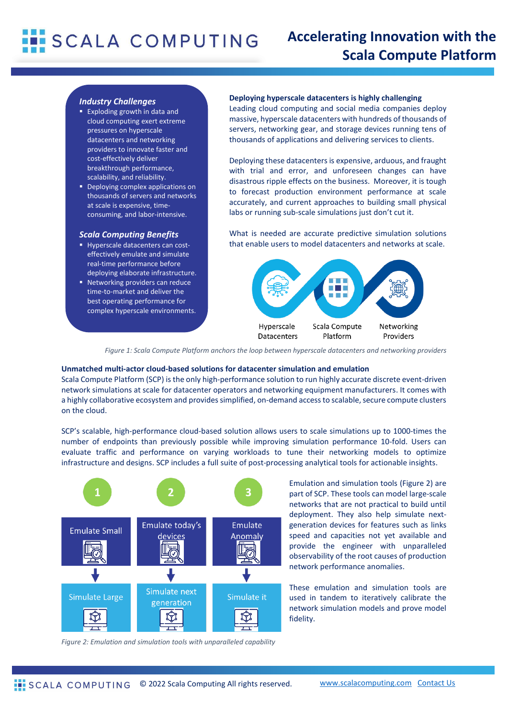# **SCALA COMPUTING**

## **Accelerating Innovation with the Scala Compute Platform**

### *Industry Challenges*

- Exploding growth in data and cloud computing exert extreme pressures on hyperscale datacenters and networking providers to innovate faster and cost-effectively deliver breakthrough performance, scalability, and reliability.
- Deploying complex applications on thousands of servers and networks at scale is expensive, timeconsuming, and labor-intensive.

#### *Scala Computing Benefits*

- **Hyperscale datacenters can cost**effectively emulate and simulate real-time performance before deploying elaborate infrastructure.
- Networking providers can reduce time-to-market and deliver the best operating performance for complex hyperscale environments.

**Deploying hyperscale datacenters is highly challenging**

Leading cloud computing and social media companies deploy massive, hyperscale datacenters with hundreds of thousands of servers, networking gear, and storage devices running tens of thousands of applications and delivering services to clients.

Deploying these datacenters is expensive, arduous, and fraught with trial and error, and unforeseen changes can have disastrous ripple effects on the business. Moreover, it is tough to forecast production environment performance at scale accurately, and current approaches to building small physical labs or running sub-scale simulations just don't cut it.

What is needed are accurate predictive simulation solutions that enable users to model datacenters and networks at scale.



*Figure 1: Scala Compute Platform anchors the loop between hyperscale datacenters and networking providers*

#### **Unmatched multi-actor cloud-based solutions for datacenter simulation and emulation**

Scala Compute Platform (SCP) is the only high-performance solution to run highly accurate discrete event-driven network simulations at scale for datacenter operators and networking equipment manufacturers. It comes with a highly collaborative ecosystem and providessimplified, on-demand access to scalable, secure compute clusters on the cloud.

SCP's scalable, high-performance cloud-based solution allows users to scale simulations up to 1000-times the number of endpoints than previously possible while improving simulation performance 10-fold. Users can evaluate traffic and performance on varying workloads to tune their networking models to optimize infrastructure and designs. SCP includes a full suite of post-processing analytical tools for actionable insights.



Emulation and simulation tools (Figure 2) are part of SCP. These tools can model large-scale networks that are not practical to build until deployment. They also help simulate nextgeneration devices for features such as links speed and capacities not yet available and provide the engineer with unparalleled observability of the root causes of production network performance anomalies.

These emulation and simulation tools are used in tandem to iteratively calibrate the network simulation models and prove model fidelity.

*Figure 2: Emulation and simulation tools with unparalleled capability*